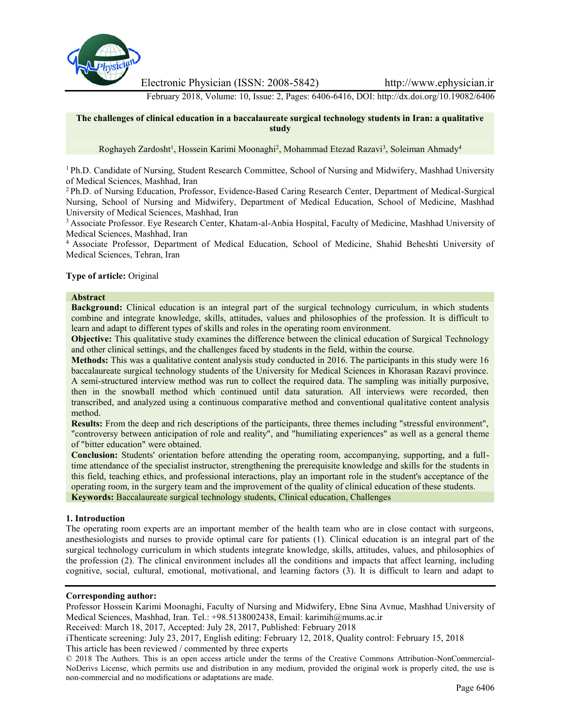

Electronic Physician (ISSN: 2008-5842) http://www.ephysician.ir

February 2018, Volume: 10, Issue: 2, Pages: 6406-6416, DOI: http://dx.doi.org/10.19082/6406

**The challenges of clinical education in a baccalaureate surgical technology students in Iran: a qualitative study**

Roghayeh Zardosht<sup>1</sup>, Hossein Karimi Moonaghi<sup>2</sup>, Mohammad Etezad Razavi<sup>3</sup>, Soleiman Ahmady<sup>4</sup>

<sup>1</sup> Ph.D. Candidate of Nursing, Student Research Committee, School of Nursing and Midwifery, Mashhad University of Medical Sciences, Mashhad, Iran

<sup>2</sup> Ph.D. of Nursing Education, Professor, Evidence-Based Caring Research Center, Department of Medical-Surgical Nursing, School of Nursing and Midwifery, Department of Medical Education, School of Medicine, Mashhad University of Medical Sciences, Mashhad, Iran

<sup>3</sup> Associate Professor. Eye Research Center, Khatam-al-Anbia Hospital, Faculty of Medicine, Mashhad University of Medical Sciences, Mashhad, Iran

<sup>4</sup> Associate Professor, Department of Medical Education, School of Medicine, Shahid Beheshti University of Medical Sciences, Tehran, Iran

#### **Type of article:** Original

#### **Abstract**

**Background:** Clinical education is an integral part of the surgical technology curriculum, in which students combine and integrate knowledge, skills, attitudes, values and philosophies of the profession. It is difficult to learn and adapt to different types of skills and roles in the operating room environment.

**Objective:** This qualitative study examines the difference between the clinical education of Surgical Technology and other clinical settings, and the challenges faced by students in the field, within the course.

**Methods:** This was a qualitative content analysis study conducted in 2016. The participants in this study were 16 baccalaureate surgical technology students of the University for Medical Sciences in Khorasan Razavi province. A semi-structured interview method was run to collect the required data. The sampling was initially purposive, then in the snowball method which continued until data saturation. All interviews were recorded, then transcribed, and analyzed using a continuous comparative method and conventional qualitative content analysis method.

**Results:** From the deep and rich descriptions of the participants, three themes including "stressful environment", "controversy between anticipation of role and reality", and "humiliating experiences" as well as a general theme of "bitter education" were obtained.

**Conclusion:** Students' orientation before attending the operating room, accompanying, supporting, and a fulltime attendance of the specialist instructor, strengthening the prerequisite knowledge and skills for the students in this field, teaching ethics, and professional interactions, play an important role in the student's acceptance of the operating room, in the surgery team and the improvement of the quality of clinical education of these students. **Keywords:** Baccalaureate surgical technology students, Clinical education, Challenges

#### **1. Introduction**

The operating room experts are an important member of the health team who are in close contact with surgeons, anesthesiologists and nurses to provide optimal care for patients (1). Clinical education is an integral part of the surgical technology curriculum in which students integrate knowledge, skills, attitudes, values, and philosophies of the profession (2). The clinical environment includes all the conditions and impacts that affect learning, including cognitive, social, cultural, emotional, motivational, and learning factors (3). It is difficult to learn and adapt to

#### **Corresponding author:**

Professor Hossein Karimi Moonaghi, Faculty of Nursing and Midwifery, Ebne Sina Avnue, Mashhad University of Medical Sciences, Mashhad, Iran. Tel.: +98.5138002438, Email: karimih@mums.ac.ir

Received: March 18, 2017, Accepted: July 28, 2017, Published: February 2018

iThenticate screening: July 23, 2017, English editing: February 12, 2018, Quality control: February 15, 2018 This article has been reviewed / commented by three experts

<sup>© 2018</sup> The Authors. This is an open access article under the terms of the Creative Commons Attribution-NonCommercial- NoDerivs License, which permits use and distribution in any medium, provided the original work is properly cited, the use is non-commercial and no modifications or adaptations are made.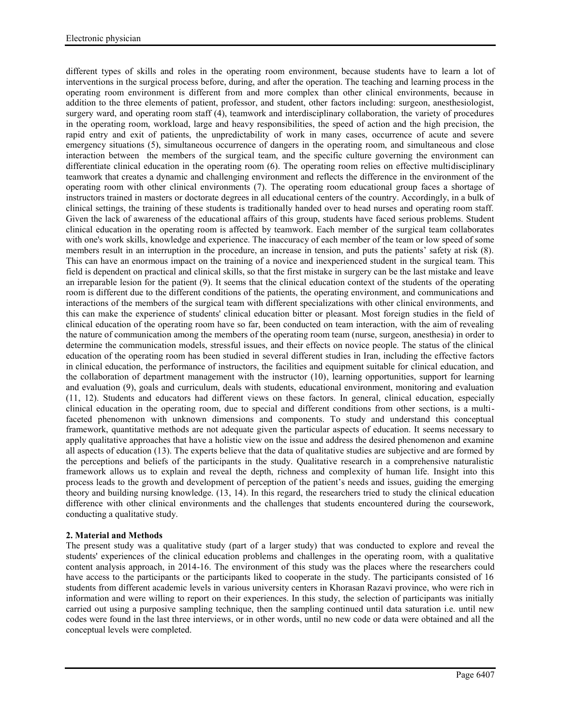different types of skills and roles in the operating room environment, because students have to learn a lot of interventions in the surgical process before, during, and after the operation. The teaching and learning process in the operating room environment is different from and more complex than other clinical environments, because in addition to the three elements of patient, professor, and student, other factors including: surgeon, anesthesiologist, surgery ward, and operating room staff (4), teamwork and interdisciplinary collaboration, the variety of procedures in the operating room, workload, large and heavy responsibilities, the speed of action and the high precision, the rapid entry and exit of patients, the unpredictability of work in many cases, occurrence of acute and severe emergency situations (5), simultaneous occurrence of dangers in the operating room, and simultaneous and close interaction between the members of the surgical team, and the specific culture governing the environment can differentiate clinical education in the operating room (6). The operating room relies on effective multidisciplinary teamwork that creates a dynamic and challenging environment and reflects the difference in the environment of the operating room with other clinical environments (7). The operating room educational group faces a shortage of instructors trained in masters or doctorate degrees in all educational centers of the country. Accordingly, in a bulk of clinical settings, the training of these students is traditionally handed over to head nurses and operating room staff. Given the lack of awareness of the educational affairs of this group, students have faced serious problems. Student clinical education in the operating room is affected by teamwork. Each member of the surgical team collaborates with one's work skills, knowledge and experience. The inaccuracy of each member of the team or low speed of some members result in an interruption in the procedure, an increase in tension, and puts the patients' safety at risk (8). This can have an enormous impact on the training of a novice and inexperienced student in the surgical team. This field is dependent on practical and clinical skills, so that the first mistake in surgery can be the last mistake and leave an irreparable lesion for the patient (9). It seems that the clinical education context of the students of the operating room is different due to the different conditions of the patients, the operating environment, and communications and interactions of the members of the surgical team with different specializations with other clinical environments, and this can make the experience of students' clinical education bitter or pleasant. Most foreign studies in the field of clinical education of the operating room have so far, been conducted on team interaction, with the aim of revealing the nature of communication among the members of the operating room team (nurse, surgeon, anesthesia) in order to determine the communication models, stressful issues, and their effects on novice people. The status of the clinical education of the operating room has been studied in several different studies in Iran, including the effective factors in clinical education, the performance of instructors, the facilities and equipment suitable for clinical education, and the collaboration of department management with the instructor (10), learning opportunities, support for learning and evaluation (9), goals and curriculum, deals with students, educational environment, monitoring and evaluation (11, 12). Students and educators had different views on these factors. In general, clinical education, especially clinical education in the operating room, due to special and different conditions from other sections, is a multifaceted phenomenon with unknown dimensions and components. To study and understand this conceptual framework, quantitative methods are not adequate given the particular aspects of education. It seems necessary to apply qualitative approaches that have a holistic view on the issue and address the desired phenomenon and examine all aspects of education (13). The experts believe that the data of qualitative studies are subjective and are formed by the perceptions and beliefs of the participants in the study. Qualitative research in a comprehensive naturalistic framework allows us to explain and reveal the depth, richness and complexity of human life. Insight into this process leads to the growth and development of perception of the patient's needs and issues, guiding the emerging theory and building nursing knowledge. (13, 14). In this regard, the researchers tried to study the clinical education difference with other clinical environments and the challenges that students encountered during the coursework, conducting a qualitative study.

## **2. Material and Methods**

The present study was a qualitative study (part of a larger study) that was conducted to explore and reveal the students' experiences of the clinical education problems and challenges in the operating room, with a qualitative content analysis approach, in 2014-16. The environment of this study was the places where the researchers could have access to the participants or the participants liked to cooperate in the study. The participants consisted of 16 students from different academic levels in various university centers in Khorasan Razavi province, who were rich in information and were willing to report on their experiences. In this study, the selection of participants was initially carried out using a purposive sampling technique, then the sampling continued until data saturation i.e. until new codes were found in the last three interviews, or in other words, until no new code or data were obtained and all the conceptual levels were completed.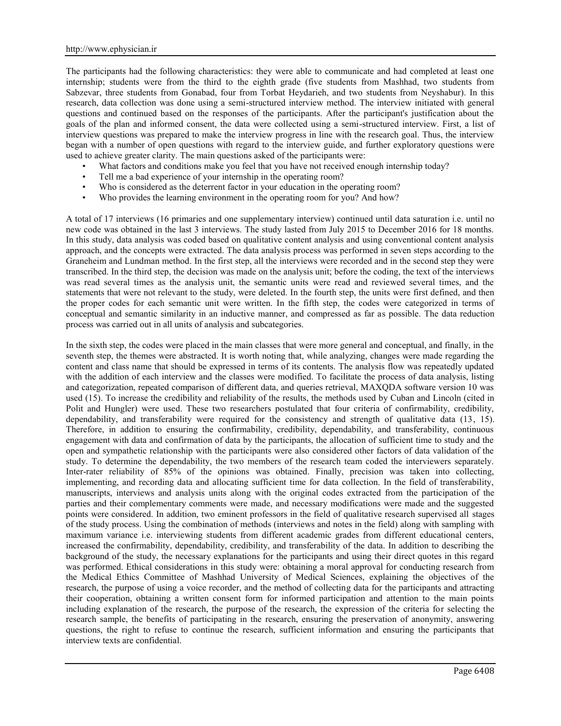The participants had the following characteristics: they were able to communicate and had completed at least one internship; students were from the third to the eighth grade (five students from Mashhad, two students from Sabzevar, three students from Gonabad, four from Torbat Heydarieh, and two students from Neyshabur). In this research, data collection was done using a semi-structured interview method. The interview initiated with general questions and continued based on the responses of the participants. After the participant's justification about the goals of the plan and informed consent, the data were collected using a semi-structured interview. First, a list of interview questions was prepared to make the interview progress in line with the research goal. Thus, the interview began with a number of open questions with regard to the interview guide, and further exploratory questions were used to achieve greater clarity. The main questions asked of the participants were:

- What factors and conditions make you feel that you have not received enough internship today?
- Tell me a bad experience of your internship in the operating room?
- Who is considered as the deterrent factor in your education in the operating room?
- Who provides the learning environment in the operating room for you? And how?

A total of 17 interviews (16 primaries and one supplementary interview) continued until data saturation i.e. until no new code was obtained in the last 3 interviews. The study lasted from July 2015 to December 2016 for 18 months. In this study, data analysis was coded based on qualitative content analysis and using conventional content analysis approach, and the concepts were extracted. The data analysis process was performed in seven steps according to the Graneheim and Lundman method. In the first step, all the interviews were recorded and in the second step they were transcribed. In the third step, the decision was made on the analysis unit; before the coding, the text of the interviews was read several times as the analysis unit, the semantic units were read and reviewed several times, and the statements that were not relevant to the study, were deleted. In the fourth step, the units were first defined, and then the proper codes for each semantic unit were written. In the fifth step, the codes were categorized in terms of conceptual and semantic similarity in an inductive manner, and compressed as far as possible. The data reduction process was carried out in all units of analysis and subcategories.

In the sixth step, the codes were placed in the main classes that were more general and conceptual, and finally, in the seventh step, the themes were abstracted. It is worth noting that, while analyzing, changes were made regarding the content and class name that should be expressed in terms of its contents. The analysis flow was repeatedly updated with the addition of each interview and the classes were modified. To facilitate the process of data analysis, listing and categorization, repeated comparison of different data, and queries retrieval, MAXQDA software version 10 was used (15). To increase the credibility and reliability of the results, the methods used by Cuban and Lincoln (cited in Polit and Hungler) were used. These two researchers postulated that four criteria of confirmability, credibility, dependability, and transferability were required for the consistency and strength of qualitative data (13, 15). Therefore, in addition to ensuring the confirmability, credibility, dependability, and transferability, continuous engagement with data and confirmation of data by the participants, the allocation of sufficient time to study and the open and sympathetic relationship with the participants were also considered other factors of data validation of the study. To determine the dependability, the two members of the research team coded the interviewers separately. Inter-rater reliability of 85% of the opinions was obtained. Finally, precision was taken into collecting, implementing, and recording data and allocating sufficient time for data collection. In the field of transferability, manuscripts, interviews and analysis units along with the original codes extracted from the participation of the parties and their complementary comments were made, and necessary modifications were made and the suggested points were considered. In addition, two eminent professors in the field of qualitative research supervised all stages of the study process. Using the combination of methods (interviews and notes in the field) along with sampling with maximum variance i.e. interviewing students from different academic grades from different educational centers, increased the confirmability, dependability, credibility, and transferability of the data. In addition to describing the background of the study, the necessary explanations for the participants and using their direct quotes in this regard was performed. Ethical considerations in this study were: obtaining a moral approval for conducting research from the Medical Ethics Committee of Mashhad University of Medical Sciences, explaining the objectives of the research, the purpose of using a voice recorder, and the method of collecting data for the participants and attracting their cooperation, obtaining a written consent form for informed participation and attention to the main points including explanation of the research, the purpose of the research, the expression of the criteria for selecting the research sample, the benefits of participating in the research, ensuring the preservation of anonymity, answering questions, the right to refuse to continue the research, sufficient information and ensuring the participants that interview texts are confidential.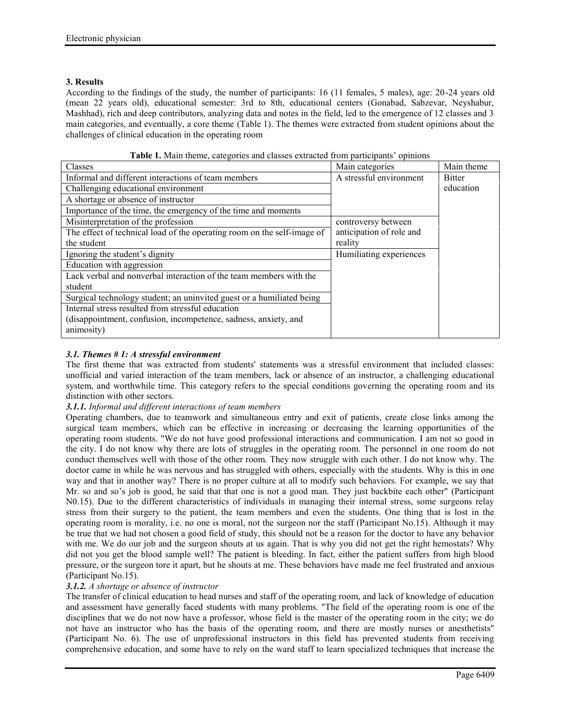## **3. Results**

According to the findings of the study, the number of participants: 16 (11 females, 5 males), age: 20-24 years old (mean 22 years old), educational semester: 3rd to 8th, educational centers (Gonabad, Sabzevar, Neyshabur, Mashhad), rich and deep contributors, analyzing data and notes in the field, led to the emergence of 12 classes and 3 main categories, and eventually, a core theme (Table 1). The themes were extracted from student opinions about the challenges of clinical education in the operating room

| Main categories          | Main theme    |  |  |
|--------------------------|---------------|--|--|
| A stressful environment  | <b>Bitter</b> |  |  |
|                          | education     |  |  |
|                          |               |  |  |
|                          |               |  |  |
| controversy between      |               |  |  |
| anticipation of role and |               |  |  |
| reality                  |               |  |  |
| Humiliating experiences  |               |  |  |
|                          |               |  |  |
|                          |               |  |  |
|                          |               |  |  |
|                          |               |  |  |
|                          |               |  |  |

**Table 1.** Main theme, categories and classes extracted from participants' opinions

# *3.1. Themes # 1: A stressful environment*

The first theme that was extracted from students' statements was a stressful environment that included classes: unofficial and varied interaction of the team members, lack or absence of an instructor, a challenging educational system, and worthwhile time. This category refers to the special conditions governing the operating room and its distinction with other sectors.

## *3.1.1. Informal and different interactions of team members*

Operating chambers, due to teamwork and simultaneous entry and exit of patients, create close links among the surgical team members, which can be effective in increasing or decreasing the learning opportunities of the operating room students. "We do not have good professional interactions and communication. I am not so good in the city. I do not know why there are lots of struggles in the operating room. The personnel in one room do not conduct themselves well with those of the other room. They now struggle with each other. I do not know why. The doctor came in while he was nervous and has struggled with others, especially with the students. Why is this in one way and that in another way? There is no proper culture at all to modify such behaviors. For example, we say that Mr. so and so's job is good, he said that that one is not a good man. They just backbite each other" (Participant N0.15). Due to the different characteristics of individuals in managing their internal stress, some surgeons relay stress from their surgery to the patient, the team members and even the students. One thing that is lost in the operating room is morality, i.e. no one is moral, not the surgeon nor the staff (Participant No.15). Although it may be true that we had not chosen a good field of study, this should not be a reason for the doctor to have any behavior with me. We do our job and the surgeon shouts at us again. That is why you did not get the right hemostats? Why did not you get the blood sample well? The patient is bleeding. In fact, either the patient suffers from high blood pressure, or the surgeon tore it apart, but he shouts at me. These behaviors have made me feel frustrated and anxious (Participant No.15).

### *3.1.2. A shortage or absence of instructor*

The transfer of clinical education to head nurses and staff of the operating room, and lack of knowledge of education and assessment have generally faced students with many problems. "The field of the operating room is one of the disciplines that we do not now have a professor, whose field is the master of the operating room in the city; we do not have an instructor who has the basis of the operating room, and there are mostly nurses or anesthetists" (Participant No. 6). The use of unprofessional instructors in this field has prevented students from receiving comprehensive education, and some have to rely on the ward staff to learn specialized techniques that increase the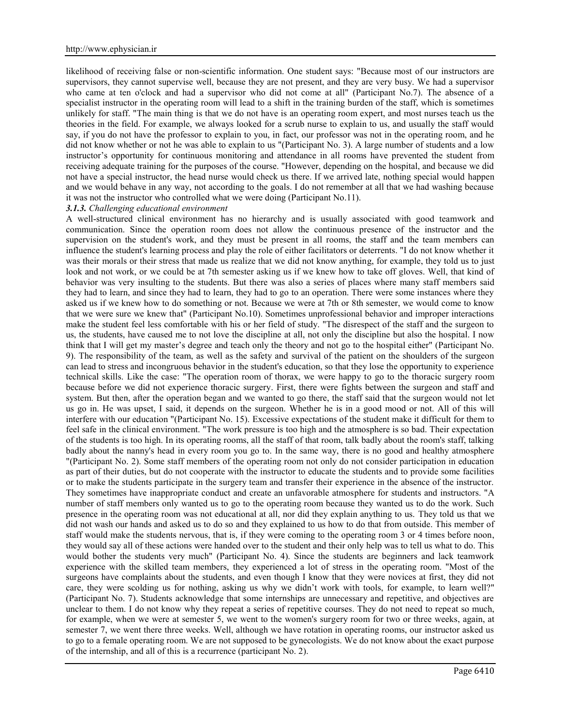likelihood of receiving false or non-scientific information. One student says: "Because most of our instructors are supervisors, they cannot supervise well, because they are not present, and they are very busy. We had a supervisor who came at ten o'clock and had a supervisor who did not come at all" (Participant No.7). The absence of a specialist instructor in the operating room will lead to a shift in the training burden of the staff, which is sometimes unlikely for staff. "The main thing is that we do not have is an operating room expert, and most nurses teach us the theories in the field. For example, we always looked for a scrub nurse to explain to us, and usually the staff would say, if you do not have the professor to explain to you, in fact, our professor was not in the operating room, and he did not know whether or not he was able to explain to us "(Participant No. 3). A large number of students and a low instructor's opportunity for continuous monitoring and attendance in all rooms have prevented the student from receiving adequate training for the purposes of the course. "However, depending on the hospital, and because we did not have a special instructor, the head nurse would check us there. If we arrived late, nothing special would happen and we would behave in any way, not according to the goals. I do not remember at all that we had washing because it was not the instructor who controlled what we were doing (Participant No.11).

#### *3.1.3. Challenging educational environment*

A well-structured clinical environment has no hierarchy and is usually associated with good teamwork and communication. Since the operation room does not allow the continuous presence of the instructor and the supervision on the student's work, and they must be present in all rooms, the staff and the team members can influence the student's learning process and play the role of either facilitators or deterrents. "I do not know whether it was their morals or their stress that made us realize that we did not know anything, for example, they told us to just look and not work, or we could be at 7th semester asking us if we knew how to take off gloves. Well, that kind of behavior was very insulting to the students. But there was also a series of places where many staff members said they had to learn, and since they had to learn, they had to go to an operation. There were some instances where they asked us if we knew how to do something or not. Because we were at 7th or 8th semester, we would come to know that we were sure we knew that" (Participant No.10). Sometimes unprofessional behavior and improper interactions make the student feel less comfortable with his or her field of study. "The disrespect of the staff and the surgeon to us, the students, have caused me to not love the discipline at all, not only the discipline but also the hospital. I now think that I will get my master's degree and teach only the theory and not go to the hospital either" (Participant No. 9). The responsibility of the team, as well as the safety and survival of the patient on the shoulders of the surgeon can lead to stress and incongruous behavior in the student's education, so that they lose the opportunity to experience technical skills. Like the case: "The operation room of thorax, we were happy to go to the thoracic surgery room because before we did not experience thoracic surgery. First, there were fights between the surgeon and staff and system. But then, after the operation began and we wanted to go there, the staff said that the surgeon would not let us go in. He was upset, I said, it depends on the surgeon. Whether he is in a good mood or not. All of this will interfere with our education "(Participant No. 15). Excessive expectations of the student make it difficult for them to feel safe in the clinical environment. "The work pressure is too high and the atmosphere is so bad. Their expectation of the students is too high. In its operating rooms, all the staff of that room, talk badly about the room's staff, talking badly about the nanny's head in every room you go to. In the same way, there is no good and healthy atmosphere "(Participant No. 2). Some staff members of the operating room not only do not consider participation in education as part of their duties, but do not cooperate with the instructor to educate the students and to provide some facilities or to make the students participate in the surgery team and transfer their experience in the absence of the instructor. They sometimes have inappropriate conduct and create an unfavorable atmosphere for students and instructors. "A number of staff members only wanted us to go to the operating room because they wanted us to do the work. Such presence in the operating room was not educational at all, nor did they explain anything to us. They told us that we did not wash our hands and asked us to do so and they explained to us how to do that from outside. This member of staff would make the students nervous, that is, if they were coming to the operating room 3 or 4 times before noon, they would say all of these actions were handed over to the student and their only help was to tell us what to do. This would bother the students very much" (Participant No. 4). Since the students are beginners and lack teamwork experience with the skilled team members, they experienced a lot of stress in the operating room. "Most of the surgeons have complaints about the students, and even though I know that they were novices at first, they did not care, they were scolding us for nothing, asking us why we didn't work with tools, for example, to learn well?" (Participant No. 7). Students acknowledge that some internships are unnecessary and repetitive, and objectives are unclear to them. I do not know why they repeat a series of repetitive courses. They do not need to repeat so much, for example, when we were at semester 5, we went to the women's surgery room for two or three weeks, again, at semester 7, we went there three weeks. Well, although we have rotation in operating rooms, our instructor asked us to go to a female operating room. We are not supposed to be gynecologists. We do not know about the exact purpose of the internship, and all of this is a recurrence (participant No. 2).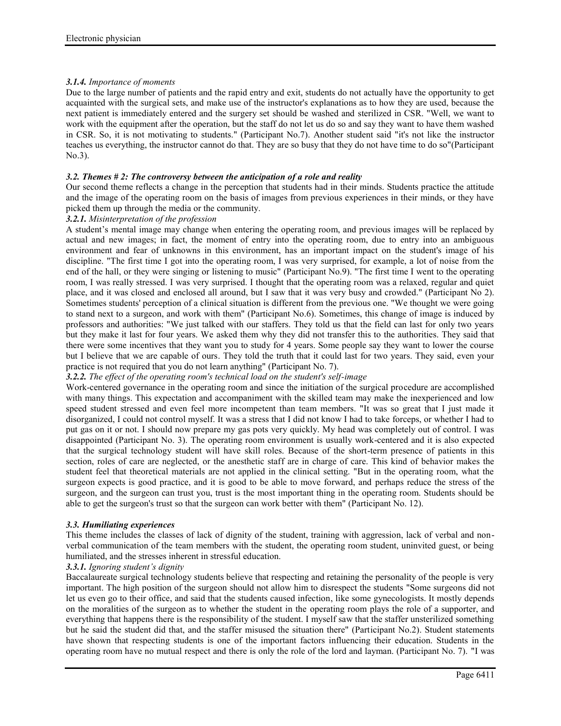# *3.1.4. Importance of moments*

Due to the large number of patients and the rapid entry and exit, students do not actually have the opportunity to get acquainted with the surgical sets, and make use of the instructor's explanations as to how they are used, because the next patient is immediately entered and the surgery set should be washed and sterilized in CSR. "Well, we want to work with the equipment after the operation, but the staff do not let us do so and say they want to have them washed in CSR. So, it is not motivating to students." (Participant No.7). Another student said "it's not like the instructor teaches us everything, the instructor cannot do that. They are so busy that they do not have time to do so"(Participant No.3).

# *3.2. Themes # 2: The controversy between the anticipation of a role and reality*

Our second theme reflects a change in the perception that students had in their minds. Students practice the attitude and the image of the operating room on the basis of images from previous experiences in their minds, or they have picked them up through the media or the community.

## *3.2.1. Misinterpretation of the profession*

A student's mental image may change when entering the operating room, and previous images will be replaced by actual and new images; in fact, the moment of entry into the operating room, due to entry into an ambiguous environment and fear of unknowns in this environment, has an important impact on the student's image of his discipline. "The first time I got into the operating room, I was very surprised, for example, a lot of noise from the end of the hall, or they were singing or listening to music" (Participant No.9). "The first time I went to the operating room, I was really stressed. I was very surprised. I thought that the operating room was a relaxed, regular and quiet place, and it was closed and enclosed all around, but I saw that it was very busy and crowded." (Participant No 2). Sometimes students' perception of a clinical situation is different from the previous one. "We thought we were going to stand next to a surgeon, and work with them" (Participant No.6). Sometimes, this change of image is induced by professors and authorities: "We just talked with our staffers. They told us that the field can last for only two years but they make it last for four years. We asked them why they did not transfer this to the authorities. They said that there were some incentives that they want you to study for 4 years. Some people say they want to lower the course but I believe that we are capable of ours. They told the truth that it could last for two years. They said, even your practice is not required that you do not learn anything" (Participant No. 7).

## *3.2.2. The effect of the operating room's technical load on the student's self-image*

Work-centered governance in the operating room and since the initiation of the surgical procedure are accomplished with many things. This expectation and accompaniment with the skilled team may make the inexperienced and low speed student stressed and even feel more incompetent than team members. "It was so great that I just made it disorganized, I could not control myself. It was a stress that I did not know I had to take forceps, or whether I had to put gas on it or not. I should now prepare my gas pots very quickly. My head was completely out of control. I was disappointed (Participant No. 3). The operating room environment is usually work-centered and it is also expected that the surgical technology student will have skill roles. Because of the short-term presence of patients in this section, roles of care are neglected, or the anesthetic staff are in charge of care. This kind of behavior makes the student feel that theoretical materials are not applied in the clinical setting. "But in the operating room, what the surgeon expects is good practice, and it is good to be able to move forward, and perhaps reduce the stress of the surgeon, and the surgeon can trust you, trust is the most important thing in the operating room. Students should be able to get the surgeon's trust so that the surgeon can work better with them" (Participant No. 12).

## *3.3. Humiliating experiences*

This theme includes the classes of lack of dignity of the student, training with aggression, lack of verbal and non verbal communication of the team members with the student, the operating room student, uninvited guest, or being humiliated, and the stresses inherent in stressful education.

## *3.3.1. Ignoring student's dignity*

Baccalaureate surgical technology students believe that respecting and retaining the personality of the people is very important. The high position of the surgeon should not allow him to disrespect the students "Some surgeons did not let us even go to their office, and said that the students caused infection, like some gynecologists. It mostly depends on the moralities of the surgeon as to whether the student in the operating room plays the role of a supporter, and everything that happens there is the responsibility of the student. I myself saw that the staffer unsterilized something but he said the student did that, and the staffer misused the situation there" (Participant No.2). Student statements have shown that respecting students is one of the important factors influencing their education. Students in the operating room have no mutual respect and there is only the role of the lord and layman. (Participant No. 7). "I was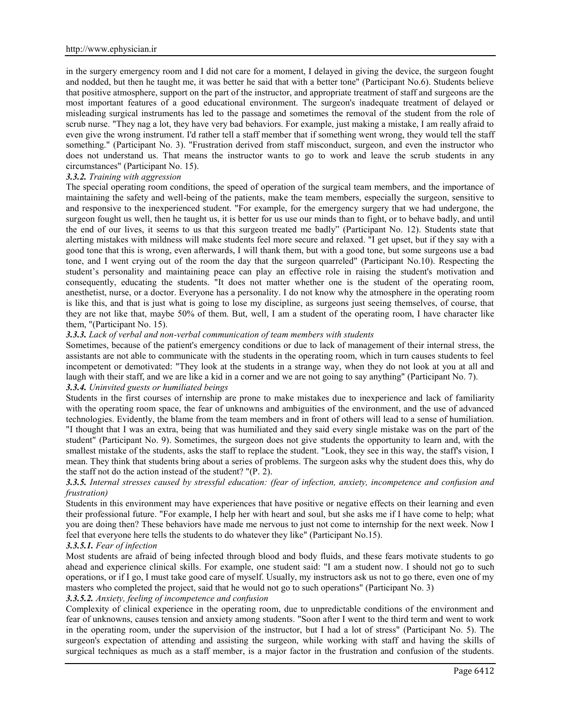in the surgery emergency room and I did not care for a moment, I delayed in giving the device, the surgeon fought and nodded, but then he taught me, it was better he said that with a better tone" (Participant No.6). Students believe that positive atmosphere, support on the part of the instructor, and appropriate treatment of staff and surgeons are the most important features of a good educational environment. The surgeon's inadequate treatment of delayed or misleading surgical instruments has led to the passage and sometimes the removal of the student from the role of scrub nurse. "They nag a lot, they have very bad behaviors. For example, just making a mistake, I am really afraid to even give the wrong instrument. I'd rather tell a staff member that if something went wrong, they would tell the staff something." (Participant No. 3). "Frustration derived from staff misconduct, surgeon, and even the instructor who does not understand us. That means the instructor wants to go to work and leave the scrub students in any circumstances" (Participant No. 15).

### *3.3.2. Training with aggression*

The special operating room conditions, the speed of operation of the surgical team members, and the importance of maintaining the safety and well-being of the patients, make the team members, especially the surgeon, sensitive to and responsive to the inexperienced student. "For example, for the emergency surgery that we had undergone, the surgeon fought us well, then he taught us, it is better for us use our minds than to fight, or to behave badly, and until the end of our lives, it seems to us that this surgeon treated me badly" (Participant No. 12). Students state that alerting mistakes with mildness will make students feel more secure and relaxed. "I get upset, but if they say with a good tone that this is wrong, even afterwards, I will thank them, but with a good tone, but some surgeons use a bad tone, and I went crying out of the room the day that the surgeon quarreled" (Participant No.10). Respecting the student's personality and maintaining peace can play an effective role in raising the student's motivation and consequently, educating the students. "It does not matter whether one is the student of the operating room, anesthetist, nurse, or a doctor. Everyone has a personality. I do not know why the atmosphere in the operating room is like this, and that is just what is going to lose my discipline, as surgeons just seeing themselves, of course, that they are not like that, maybe 50% of them. But, well, I am a student of the operating room, I have character like them, "(Participant No. 15).

### *3.3.3. Lack of verbal and non-verbal communication of team members with students*

Sometimes, because of the patient's emergency conditions or due to lack of management of their internal stress, the assistants are not able to communicate with the students in the operating room, which in turn causes students to feel incompetent or demotivated: "They look at the students in a strange way, when they do not look at you at all and laugh with their staff, and we are like a kid in a corner and we are not going to say anything" (Participant No. 7). *3.3.4. Uninvited guests or humiliated beings*

Students in the first courses of internship are prone to make mistakes due to inexperience and lack of familiarity with the operating room space, the fear of unknowns and ambiguities of the environment, and the use of advanced technologies. Evidently, the blame from the team members and in front of others will lead to a sense of humiliation. "I thought that I was an extra, being that was humiliated and they said every single mistake was on the part of the student" (Participant No. 9). Sometimes, the surgeon does not give students the opportunity to learn and, with the smallest mistake of the students, asks the staff to replace the student. "Look, they see in this way, the staff's vision, I mean. They think that students bring about a series of problems. The surgeon asks why the student does this, why do the staff not do the action instead of the student? "(P. 2).

### *3.3.5. Internal stresses caused by stressful education: (fear of infection, anxiety, incompetence and confusion and frustration)*

Students in this environment may have experiences that have positive or negative effects on their learning and even their professional future. "For example, I help her with heart and soul, but she asks me if I have come to help; what you are doing then? These behaviors have made me nervous to just not come to internship for the next week. Now I feel that everyone here tells the students to do whatever they like" (Participant No.15).

#### *3.3.5.1. Fear of infection*

Most students are afraid of being infected through blood and body fluids, and these fears motivate students to go ahead and experience clinical skills. For example, one student said: "I am a student now. I should not go to such operations, or if I go, I must take good care of myself. Usually, my instructors ask us not to go there, even one of my masters who completed the project, said that he would not go to such operations" (Participant No. 3)

#### *3.3.5.2. Anxiety, feeling of incompetence and confusion*

Complexity of clinical experience in the operating room, due to unpredictable conditions of the environment and fear of unknowns, causes tension and anxiety among students. "Soon after I went to the third term and went to work in the operating room, under the supervision of the instructor, but I had a lot of stress" (Participant No. 5). The surgeon's expectation of attending and assisting the surgeon, while working with staff and having the skills of surgical techniques as much as a staff member, is a major factor in the frustration and confusion of the students.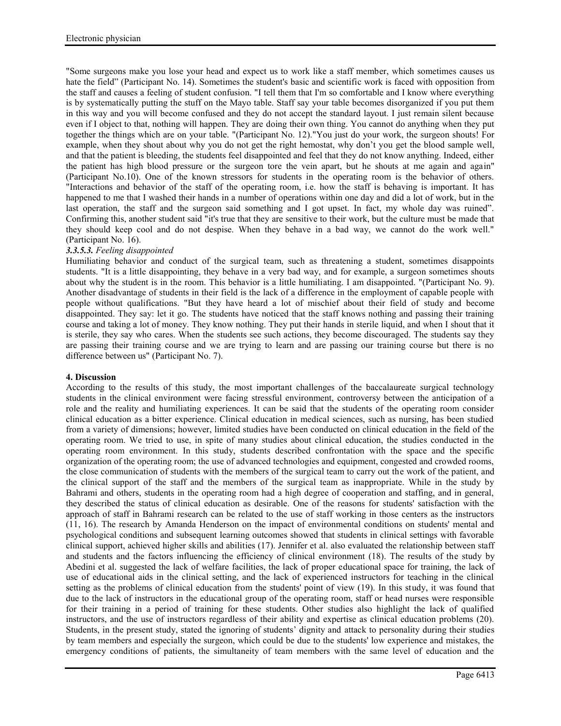"Some surgeons make you lose your head and expect us to work like a staff member, which sometimes causes us hate the field" (Participant No. 14). Sometimes the student's basic and scientific work is faced with opposition from the staff and causes a feeling of student confusion. "I tell them that I'm so comfortable and I know where everything is by systematically putting the stuff on the Mayo table. Staff say your table becomes disorganized if you put them in this way and you will become confused and they do not accept the standard layout. I just remain silent because even if I object to that, nothing will happen. They are doing their own thing. You cannot do anything when they put together the things which are on your table. "(Participant No. 12)."You just do your work, the surgeon shouts! For example, when they shout about why you do not get the right hemostat, why don't you get the blood sample well, and that the patient is bleeding, the students feel disappointed and feel that they do not know anything. Indeed, either the patient has high blood pressure or the surgeon tore the vein apart, but he shouts at me again and again" (Participant No.10). One of the known stressors for students in the operating room is the behavior of others. "Interactions and behavior of the staff of the operating room, i.e. how the staff is behaving is important. It has happened to me that I washed their hands in a number of operations within one day and did a lot of work, but in the last operation, the staff and the surgeon said something and I got upset. In fact, my whole day was ruined". Confirming this, another student said "it's true that they are sensitive to their work, but the culture must be made that they should keep cool and do not despise. When they behave in a bad way, we cannot do the work well." (Participant No. 16).

## *3.3.5.3. Feeling disappointed*

Humiliating behavior and conduct of the surgical team, such as threatening a student, sometimes disappoints students. "It is a little disappointing, they behave in a very bad way, and for example, a surgeon sometimes shouts about why the student is in the room. This behavior is a little humiliating. I am disappointed. "(Participant No. 9). Another disadvantage of students in their field is the lack of a difference in the employment of capable people with people without qualifications. "But they have heard a lot of mischief about their field of study and become disappointed. They say: let it go. The students have noticed that the staff knows nothing and passing their training course and taking a lot of money. They know nothing. They put their hands in sterile liquid, and when I shout that it is sterile, they say who cares. When the students see such actions, they become discouraged. The students say they are passing their training course and we are trying to learn and are passing our training course but there is no difference between us" (Participant No. 7).

## **4. Discussion**

According to the results of this study, the most important challenges of the baccalaureate surgical technology students in the clinical environment were facing stressful environment, controversy between the anticipation of a role and the reality and humiliating experiences. It can be said that the students of the operating room consider clinical education as a bitter experience. Clinical education in medical sciences, such as nursing, has been studied from a variety of dimensions; however, limited studies have been conducted on clinical education in the field of the operating room. We tried to use, in spite of many studies about clinical education, the studies conducted in the operating room environment. In this study, students described confrontation with the space and the specific organization of the operating room; the use of advanced technologies and equipment, congested and crowded rooms, the close communication of students with the members of the surgical team to carry out the work of the patient, and the clinical support of the staff and the members of the surgical team as inappropriate. While in the study by Bahrami and others, students in the operating room had a high degree of cooperation and staffing, and in general, they described the status of clinical education as desirable. One of the reasons for students' satisfaction with the approach of staff in Bahrami research can be related to the use of staff working in those centers as the instructors (11, 16). The research by Amanda Henderson on the impact of environmental conditions on students' mental and psychological conditions and subsequent learning outcomes showed that students in clinical settings with favorable clinical support, achieved higher skills and abilities (17). Jennifer et al. also evaluated the relationship between staff and students and the factors influencing the efficiency of clinical environment (18). The results of the study by Abedini et al. suggested the lack of welfare facilities, the lack of proper educational space for training, the lack of use of educational aids in the clinical setting, and the lack of experienced instructors for teaching in the clinical setting as the problems of clinical education from the students' point of view (19). In this study, it was found that due to the lack of instructors in the educational group of the operating room, staff or head nurses were responsible for their training in a period of training for these students. Other studies also highlight the lack of qualified instructors, and the use of instructors regardless of their ability and expertise as clinical education problems (20). Students, in the present study, stated the ignoring of students' dignity and attack to personality during their studies by team members and especially the surgeon, which could be due to the students' low experience and mistakes, the emergency conditions of patients, the simultaneity of team members with the same level of education and the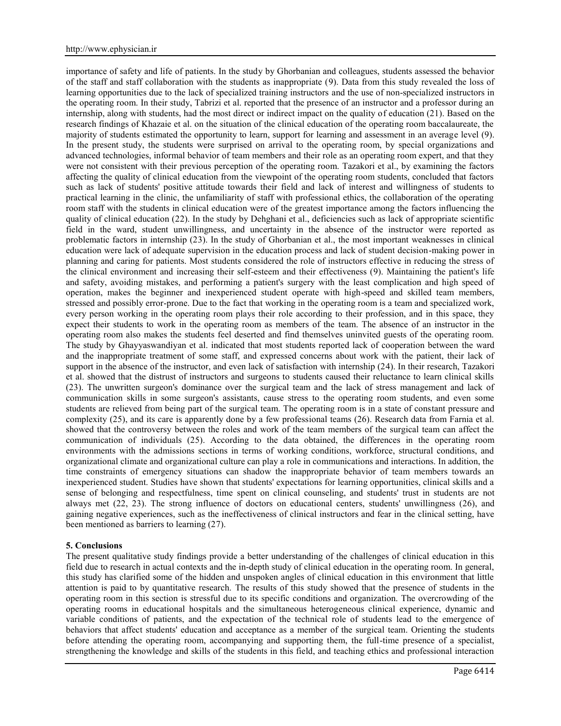importance of safety and life of patients. In the study by Ghorbanian and colleagues, students assessed the behavior of the staff and staff collaboration with the students as inappropriate (9). Data from this study revealed the loss of learning opportunities due to the lack of specialized training instructors and the use of non-specialized instructors in the operating room. In their study, Tabrizi et al. reported that the presence of an instructor and a professor during an internship, along with students, had the most direct or indirect impact on the quality of education (21). Based on the research findings of Khazaie et al. on the situation of the clinical education of the operating room baccalaureate, the majority of students estimated the opportunity to learn, support for learning and assessment in an average level (9). In the present study, the students were surprised on arrival to the operating room, by special organizations and advanced technologies, informal behavior of team members and their role as an operating room expert, and that they were not consistent with their previous perception of the operating room. Tazakori et al., by examining the factors affecting the quality of clinical education from the viewpoint of the operating room students, concluded that factors such as lack of students' positive attitude towards their field and lack of interest and willingness of students to practical learning in the clinic, the unfamiliarity of staff with professional ethics, the collaboration of the operating room staff with the students in clinical education were of the greatest importance among the factors influencing the quality of clinical education (22). In the study by Dehghani et al., deficiencies such as lack of appropriate scientific field in the ward, student unwillingness, and uncertainty in the absence of the instructor were reported as problematic factors in internship (23). In the study of Ghorbanian et al., the most important weaknesses in clinical education were lack of adequate supervision in the education process and lack of student decision-making power in planning and caring for patients. Most students considered the role of instructors effective in reducing the stress of the clinical environment and increasing their self-esteem and their effectiveness (9). Maintaining the patient's life and safety, avoiding mistakes, and performing a patient's surgery with the least complication and high speed of operation, makes the beginner and inexperienced student operate with high-speed and skilled team members, stressed and possibly error-prone. Due to the fact that working in the operating room is a team and specialized work, every person working in the operating room plays their role according to their profession, and in this space, they expect their students to work in the operating room as members of the team. The absence of an instructor in the operating room also makes the students feel deserted and find themselves uninvited guests of the operating room. The study by Ghayyaswandiyan et al. indicated that most students reported lack of cooperation between the ward and the inappropriate treatment of some staff, and expressed concerns about work with the patient, their lack of support in the absence of the instructor, and even lack of satisfaction with internship (24). In their research, Tazakori et al. showed that the distrust of instructors and surgeons to students caused their reluctance to learn clinical skills (23). The unwritten surgeon's dominance over the surgical team and the lack of stress management and lack of communication skills in some surgeon's assistants, cause stress to the operating room students, and even some students are relieved from being part of the surgical team. The operating room is in a state of constant pressure and complexity (25), and its care is apparently done by a few professional teams (26). Research data from Farnia et al. showed that the controversy between the roles and work of the team members of the surgical team can affect the communication of individuals (25). According to the data obtained, the differences in the operating room environments with the admissions sections in terms of working conditions, workforce, structural conditions, and organizational climate and organizational culture can play a role in communications and interactions. In addition, the time constraints of emergency situations can shadow the inappropriate behavior of team members towards an inexperienced student. Studies have shown that students' expectations for learning opportunities, clinical skills and a sense of belonging and respectfulness, time spent on clinical counseling, and students' trust in students are not always met (22, 23). The strong influence of doctors on educational centers, students' unwillingness (26), and gaining negative experiences, such as the ineffectiveness of clinical instructors and fear in the clinical setting, have been mentioned as barriers to learning (27).

#### **5. Conclusions**

The present qualitative study findings provide a better understanding of the challenges of clinical education in this field due to research in actual contexts and the in-depth study of clinical education in the operating room. In general, this study has clarified some of the hidden and unspoken angles of clinical education in this environment that little attention is paid to by quantitative research. The results of this study showed that the presence of students in the operating room in this section is stressful due to its specific conditions and organization. The overcrowding of the operating rooms in educational hospitals and the simultaneous heterogeneous clinical experience, dynamic and variable conditions of patients, and the expectation of the technical role of students lead to the emergence of behaviors that affect students' education and acceptance as a member of the surgical team. Orienting the students before attending the operating room, accompanying and supporting them, the full-time presence of a specialist, strengthening the knowledge and skills of the students in this field, and teaching ethics and professional interaction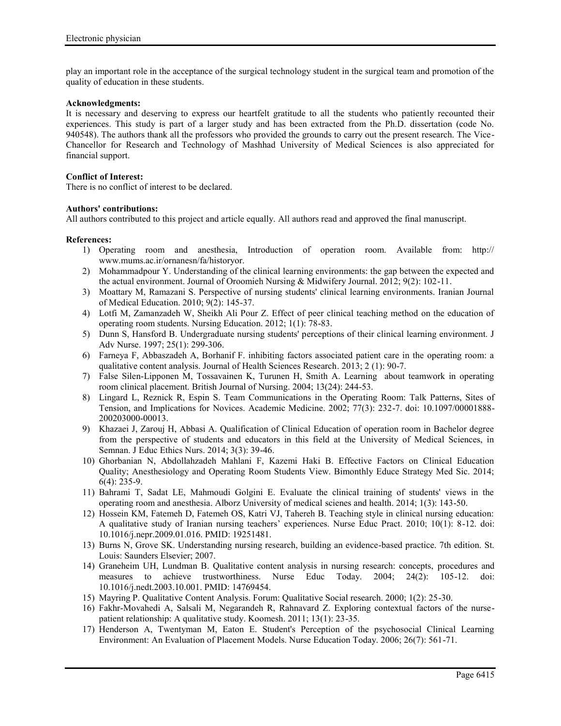play an important role in the acceptance of the surgical technology student in the surgical team and promotion of the quality of education in these students.

#### **Acknowledgments:**

It is necessary and deserving to express our heartfelt gratitude to all the students who patiently recounted their experiences. This study is part of a larger study and has been extracted from the Ph.D. dissertation (code No. 940548). The authors thank all the professors who provided the grounds to carry out the present research. The Vice- Chancellor for Research and Technology of Mashhad University of Medical Sciences is also appreciated for financial support.

### **Conflict of Interest:**

There is no conflict of interest to be declared.

### **Authors' contributions:**

All authors contributed to this project and article equally. All authors read and approved the final manuscript.

### **References:**

- 1) Operating room and anesthesia, Introduction of operation room. Available from: http:// www.mums.ac.ir/ornanesn/fa/historyor.
- 2) Mohammadpour Y. Understanding of the clinical learning environments: the gap between the expected and the actual environment. Journal of Oroomieh Nursing & Midwifery Journal. 2012; 9(2): 102-11.
- 3) Moattary M, Ramazani S. Perspective of nursing students' clinical learning environments. Iranian Journal of Medical Education. 2010; 9(2): 145-37.
- 4) Lotfi M, Zamanzadeh W, Sheikh Ali Pour Z. Effect of peer clinical teaching method on the education of operating room students. Nursing Education. 2012; 1(1): 78-83.
- 5) Dunn S, Hansford B. Undergraduate nursing students' perceptions of their clinical learning environment. J Adv Nurse. 1997; 25(1): 299-306.
- 6) Farneya F, Abbaszadeh A, Borhanif F. inhibiting factors associated patient care in the operating room: a qualitative content analysis. Journal of Health Sciences Research. 2013; 2 (1): 90-7.
- 7) False Silen-Lipponen M, Tossavainen K, Turunen H, Smith A. Learning about teamwork in operating room clinical placement. British Journal of Nursing. 2004; 13(24): 244-53.
- 8) Lingard L, Reznick R, Espin S. Team Communications in the Operating Room: Talk Patterns, Sites of Tension, and Implications for Novices. Academic Medicine. 2002; 77(3): 232-7. doi: 10.1097/00001888- 200203000-00013.
- 9) Khazaei J, Zarouj H, Abbasi A. Qualification of Clinical Education of operation room in Bachelor degree from the perspective of students and educators in this field at the University of Medical Sciences, in Semnan. J Educ Ethics Nurs. 2014; 3(3): 39-46.
- 10) Ghorbanian N, Abdollahzadeh Mahlani F, Kazemi Haki B. Effective Factors on Clinical Education Quality; Anesthesiology and Operating Room Students View. Bimonthly Educe Strategy Med Sic. 2014; 6(4): 235-9.
- 11) Bahrami T, Sadat LE, Mahmoudi Golgini E. Evaluate the clinical training of students' views in the operating room and anesthesia. Alborz University of medical scienes and health. 2014; 1(3): 143-50.
- 12) Hossein KM, Fatemeh D, Fatemeh OS, Katri VJ, Tahereh B. Teaching style in clinical nursing education: A qualitative study of Iranian nursing teachers' experiences. Nurse Educ Pract. 2010; 10(1): 8-12. doi: 10.1016/j.nepr.2009.01.016. PMID: 19251481.
- 13) Burns N, Grove SK. Understanding nursing research, building an evidence-based practice. 7th edition. St. Louis: Saunders Elsevier; 2007.
- 14) Graneheim UH, Lundman B. Qualitative content analysis in nursing research: concepts, procedures and measures to achieve trustworthiness. Nurse Educ Today. 2004; 24(2): 105-12. doi: 10.1016/j.nedt.2003.10.001. PMID: 14769454.
- 15) Mayring P. Qualitative Content Analysis. Forum: Qualitative Social research. 2000; 1(2): 25-30.
- 16) Fakhr-Movahedi A, Salsali M, Negarandeh R, Rahnavard Z. Exploring contextual factors of the nurse patient relationship: A qualitative study. Koomesh. 2011; 13(1): 23-35.
- 17) Henderson A, Twentyman M, Eaton E. Student's Perception of the psychosocial Clinical Learning Environment: An Evaluation of Placement Models. Nurse Education Today. 2006; 26(7): 561-71.